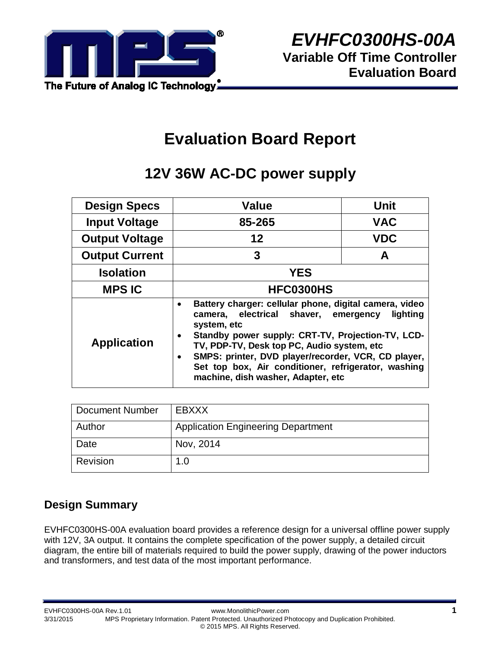

# **Evaluation Board Report**

# **12V 36W AC-DC power supply**

| <b>Design Specs</b>   | Value                                                                                                                                                                                                                                                                                                                                                                                                           | Unit       |  |  |  |
|-----------------------|-----------------------------------------------------------------------------------------------------------------------------------------------------------------------------------------------------------------------------------------------------------------------------------------------------------------------------------------------------------------------------------------------------------------|------------|--|--|--|
| <b>Input Voltage</b>  | 85-265                                                                                                                                                                                                                                                                                                                                                                                                          | <b>VAC</b> |  |  |  |
| <b>Output Voltage</b> | 12                                                                                                                                                                                                                                                                                                                                                                                                              | <b>VDC</b> |  |  |  |
| <b>Output Current</b> | 3                                                                                                                                                                                                                                                                                                                                                                                                               | A          |  |  |  |
| <b>Isolation</b>      | <b>YES</b>                                                                                                                                                                                                                                                                                                                                                                                                      |            |  |  |  |
| <b>MPS IC</b>         | HFC0300HS                                                                                                                                                                                                                                                                                                                                                                                                       |            |  |  |  |
| <b>Application</b>    | Battery charger: cellular phone, digital camera, video<br>٠<br>camera, electrical shaver, emergency<br>lighting<br>system, etc<br>Standby power supply: CRT-TV, Projection-TV, LCD-<br>$\bullet$<br>TV, PDP-TV, Desk top PC, Audio system, etc<br>SMPS: printer, DVD player/recorder, VCR, CD player,<br>$\bullet$<br>Set top box, Air conditioner, refrigerator, washing<br>machine, dish washer, Adapter, etc |            |  |  |  |

| <b>Document Number</b> | EBXXX                                     |
|------------------------|-------------------------------------------|
| Author                 | <b>Application Engineering Department</b> |
| Date                   | Nov, 2014                                 |
| Revision               | 1.0                                       |

## **Design Summary**

EVHFC0300HS-00A evaluation board provides a reference design for a universal offline power supply with 12V, 3A output. It contains the complete specification of the power supply, a detailed circuit diagram, the entire bill of materials required to build the power supply, drawing of the power inductors and transformers, and test data of the most important performance.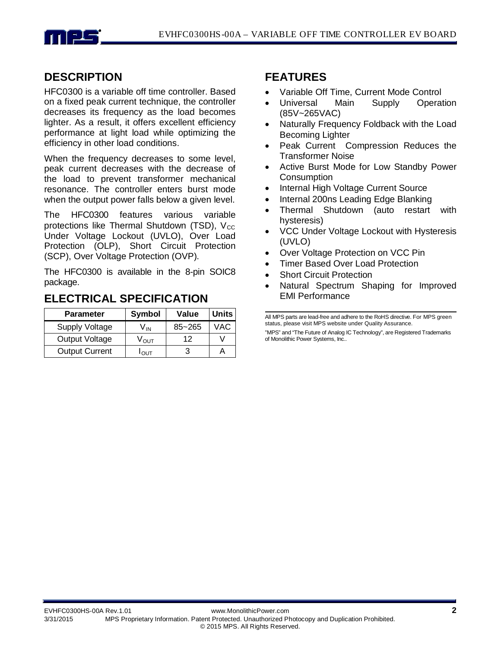

## **DESCRIPTION**

HFC0300 is a variable off time controller. Based on a fixed peak current technique, the controller decreases its frequency as the load becomes lighter. As a result, it offers excellent efficiency performance at light load while optimizing the efficiency in other load conditions.

When the frequency decreases to some level, peak current decreases with the decrease of the load to prevent transformer mechanical resonance. The controller enters burst mode when the output power falls below a given level.

The HFC0300 features various variable protections like Thermal Shutdown (TSD),  $V_{CC}$ Under Voltage Lockout (UVLO), Over Load Protection (OLP), Short Circuit Protection (SCP), Over Voltage Protection (OVP).

The HFC0300 is available in the 8-pin SOIC8 package.

### **ELECTRICAL SPECIFICATION**

| <b>Parameter</b>      | <b>Symbol</b>    | Value      | <b>Units</b> |
|-----------------------|------------------|------------|--------------|
| <b>Supply Voltage</b> | V in             | $85 - 265$ | VAC          |
| Output Voltage        | V <sub>ουτ</sub> | 12         |              |
| <b>Output Current</b> | <b>IOUT</b>      |            |              |

### **FEATURES**

- Variable Off Time, Current Mode Control
- Universal Main Supply Operation (85V~265VAC)
- Naturally Frequency Foldback with the Load Becoming Lighter
- Peak Current Compression Reduces the Transformer Noise
- Active Burst Mode for Low Standby Power **Consumption**
- Internal High Voltage Current Source
- Internal 200ns Leading Edge Blanking
- Thermal Shutdown (auto restart with hysteresis)
- VCC Under Voltage Lockout with Hysteresis (UVLO)
- Over Voltage Protection on VCC Pin
- Timer Based Over Load Protection
- **Short Circuit Protection**
- Natural Spectrum Shaping for Improved EMI Performance

All MPS parts are lead-free and adhere to the RoHS directive. For MPS green status, please visit MPS website under Quality Assurance.

"MPS" and "The Future of Analog IC Technology", are Registered Trademarks of Monolithic Power Systems, Inc..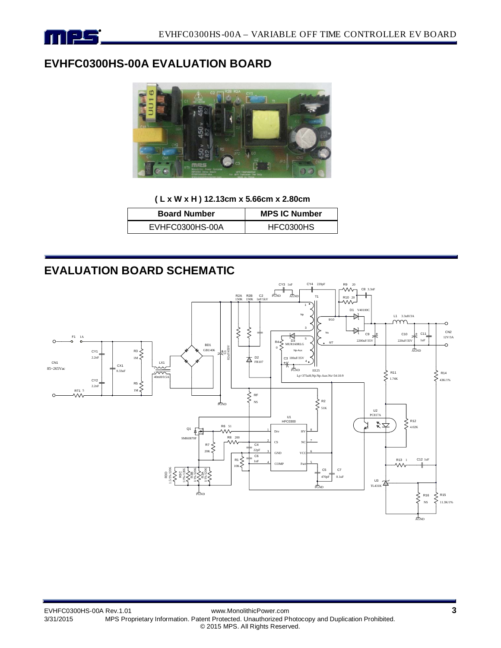

## **EVHFC0300HS-00A EVALUATION BOARD**



**( L x W x H ) 12.13cm x 5.66cm x 2.80cm**

| <b>Board Number</b> | <b>MPS IC Number</b> |  |
|---------------------|----------------------|--|
| EVHFC0300HS-00A     | HFC0300HS            |  |

## **EVALUATION BOARD SCHEMATIC**

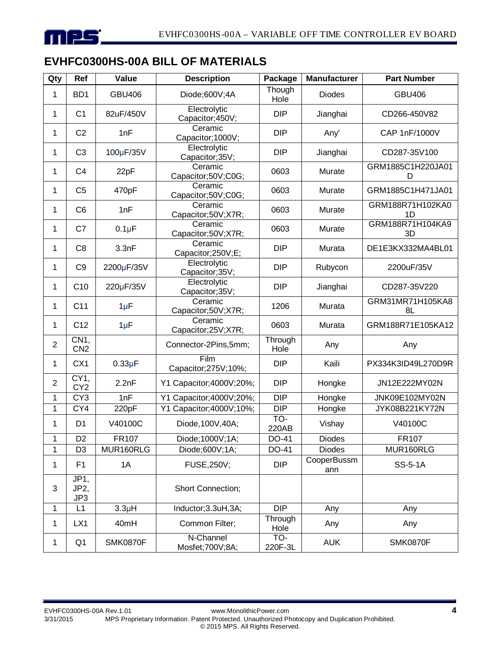

## **EVHFC0300HS-00A BILL OF MATERIALS**

| Qty            | Ref                                | Value           | <b>Description</b>               | Package         | <b>Manufacturer</b> | <b>Part Number</b>     |  |
|----------------|------------------------------------|-----------------|----------------------------------|-----------------|---------------------|------------------------|--|
| 1              | B <sub>D</sub> 1                   | <b>GBU406</b>   | Diode;600V;4A                    | Though<br>Hole  | <b>Diodes</b>       | <b>GBU406</b>          |  |
| 1              | C <sub>1</sub>                     | 82uF/450V       | Electrolytic<br>Capacitor;450V;  | <b>DIP</b>      | Jianghai            | CD266-450V82           |  |
| 1              | C <sub>2</sub>                     | 1nF             | Ceramic<br>Capacitor; 1000V;     | <b>DIP</b>      | Any'                | CAP 1nF/1000V          |  |
| 1              | C <sub>3</sub>                     | 100µF/35V       | Electrolytic<br>Capacitor;35V;   | <b>DIP</b>      | Jianghai            | CD287-35V100           |  |
| 1              | C <sub>4</sub>                     | 22pF            | Ceramic<br>Capacitor;50V;C0G;    | 0603            | Murate              | GRM1885C1H220JA01<br>D |  |
| 1              | C <sub>5</sub>                     | 470pF           | Ceramic<br>Capacitor;50V;C0G;    | 0603            | Murate              | GRM1885C1H471JA01      |  |
| 1              | C <sub>6</sub>                     | 1nF             | Ceramic<br>Capacitor;50V;X7R;    | 0603            | Murate              | GRM188R71H102KA0<br>1D |  |
| 1              | C7                                 | $0.1\mu F$      | Ceramic<br>Capacitor;50V;X7R;    | 0603            | Murate              | GRM188R71H104KA9<br>3D |  |
| 1              | C <sub>8</sub>                     | 3.3nF           | Ceramic<br>Capacitor;250V;E;     | <b>DIP</b>      | Murata              | DE1E3KX332MA4BL01      |  |
| 1              | C <sub>9</sub>                     | 2200µF/35V      | Electrolytic<br>Capacitor;35V;   | <b>DIP</b>      | Rubycon             | 2200uF/35V             |  |
| 1              | C10                                | 220µF/35V       | Electrolytic<br>Capacitor;35V;   | <b>DIP</b>      | Jianghai            | CD287-35V220           |  |
| 1              | C <sub>11</sub>                    | $1\mu F$        | Ceramic<br>Capacitor;50V;X7R;    | 1206            | Murata              | GRM31MR71H105KA8<br>8L |  |
| 1              | C12                                | $1\mu F$        | Ceramic<br>Capacitor;25V;X7R;    | 0603            | Murata              | GRM188R71E105KA12      |  |
| $\overline{2}$ | CN <sub>1</sub><br>CN <sub>2</sub> |                 | Connector-2Pins,5mm;             | Through<br>Hole | Any                 | Any                    |  |
| 1              | CX1                                | $0.33\mu F$     | Film<br>Capacitor; 275V; 10%;    | <b>DIP</b>      | Kaili               | PX334K3ID49L270D9R     |  |
| $\overline{2}$ | CY1,<br>CY <sub>2</sub>            | 2.2nF           | Y1 Capacitor;4000V;20%;          | <b>DIP</b>      | Hongke              | JN12E222MY02N          |  |
| 1              | CY <sub>3</sub>                    | 1nF             | Y1 Capacitor;4000V;20%;          | <b>DIP</b>      | Hongke              | JNK09E102MY02N         |  |
| $\mathbf 1$    | CY4                                | 220pF           | Y1 Capacitor;4000V;10%;          | <b>DIP</b>      | Hongke              | JYK08B221KY72N         |  |
| 1              | D <sub>1</sub>                     | V40100C         | Diode, 100V, 40A;                | TO-<br>220AB    | Vishay              | V40100C                |  |
| 1              | D <sub>2</sub>                     | FR107           | Diode; 1000V; 1A;                | DO-41           | <b>Diodes</b>       | FR107                  |  |
| 1              | D <sub>3</sub>                     | MUR160RLG       | Diode;600V;1A;                   | DO-41           | <b>Diodes</b>       | MUR160RLG              |  |
| $\mathbf 1$    | F <sub>1</sub>                     | 1A              | <b>FUSE, 250V;</b><br><b>DIP</b> |                 | CooperBussm<br>ann  | <b>SS-5-1A</b>         |  |
| $\mathbf{3}$   | JP <sub>1</sub> ,<br>JP2,<br>JP3   |                 | Short Connection;                |                 |                     |                        |  |
| 1              | L1                                 | $3.3\mu H$      | Inductor; 3.3uH, 3A;             | <b>DIP</b>      | Any                 | Any                    |  |
| 1              | LX1                                | 40mH            | Common Filter;                   | Through<br>Hole | Any                 | Any                    |  |
| $\mathbf{1}$   | Q <sub>1</sub>                     | <b>SMK0870F</b> | N-Channel<br>Mosfet; 700V; 8A;   | TO-<br>220F-3L  | <b>AUK</b>          | <b>SMK0870F</b>        |  |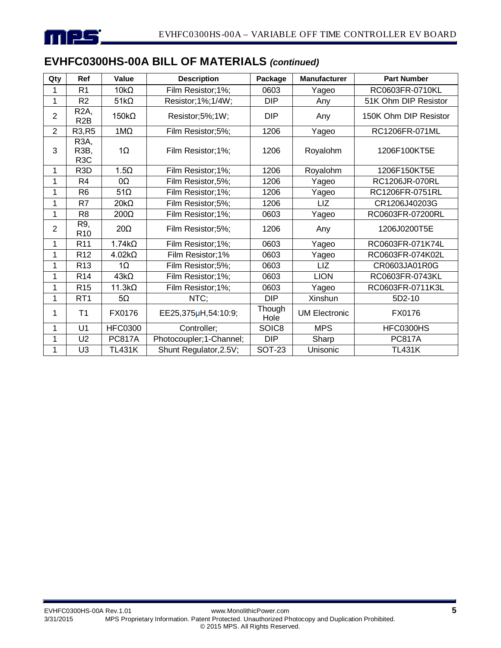

# **EVHFC0300HS-00A BILL OF MATERIALS** *(continued)*

| Qty            | Ref                                                        | Value          | <b>Description</b>      | Package        | <b>Manufacturer</b>  | <b>Part Number</b>    |
|----------------|------------------------------------------------------------|----------------|-------------------------|----------------|----------------------|-----------------------|
| 1              | R <sub>1</sub>                                             | $10k\Omega$    | Film Resistor; 1%;      | 0603           | Yageo                | RC0603FR-0710KL       |
| 1              | R <sub>2</sub>                                             | $51k\Omega$    | Resistor; 1%; 1/4W;     | <b>DIP</b>     | Any                  | 51K Ohm DIP Resistor  |
| $\overline{2}$ | R <sub>2</sub> A,<br>R <sub>2</sub> B                      | $150k\Omega$   | Resistor;5%;1W;         | <b>DIP</b>     | Any                  | 150K Ohm DIP Resistor |
| $\overline{2}$ | R3, R5                                                     | $1M\Omega$     | Film Resistor;5%;       | 1206           | Yageo                | RC1206FR-071ML        |
| 3              | R <sub>3</sub> A,<br>R <sub>3</sub> B,<br>R <sub>3</sub> C | $1\Omega$      | Film Resistor; 1%;      | 1206           | Royalohm             | 1206F100KT5E          |
| 1              | R <sub>3</sub> D                                           | $1.5\Omega$    | Film Resistor; 1%;      | 1206           | Royalohm             | 1206F150KT5E          |
| 1              | R <sub>4</sub>                                             | 0Ω             | Film Resistor, 5%;      | 1206           | Yageo                | RC1206JR-070RL        |
| 1              | R <sub>6</sub>                                             | $51\Omega$     | Film Resistor; 1%;      | 1206           | Yageo                | RC1206FR-0751RL       |
| 1              | R7                                                         | $20k\Omega$    | Film Resistor;5%;       | 1206           | LIZ                  | CR1206J40203G         |
| 1              | R <sub>8</sub>                                             | 200Ω           | Film Resistor; 1%;      | 0603           | Yageo                | RC0603FR-07200RL      |
| 2              | R9,<br>R <sub>10</sub>                                     | $20\Omega$     | Film Resistor;5%;       | 1206           | Any                  | 1206J0200T5E          |
| 1              | R <sub>11</sub>                                            | $1.74k\Omega$  | Film Resistor; 1%;      | 0603           | Yageo                | RC0603FR-071K74L      |
| 1              | R <sub>12</sub>                                            | $4.02k\Omega$  | Film Resistor; 1%       | 0603           | Yageo                | RC0603FR-074K02L      |
| 1              | R <sub>13</sub>                                            | $1\Omega$      | Film Resistor;5%;       | 0603           | LIZ                  | CR0603JA01R0G         |
| 1              | R <sub>14</sub>                                            | $43k\Omega$    | Film Resistor;1%;       | 0603           | <b>LION</b>          | RC0603FR-0743KL       |
| 1              | R <sub>15</sub>                                            | $11.3k\Omega$  | Film Resistor; 1%;      | 0603           | Yageo                | RC0603FR-0711K3L      |
| 1              | RT <sub>1</sub>                                            | $5\Omega$      | NTC;                    | <b>DIP</b>     | Xinshun              | 5D2-10                |
| 1              | T <sub>1</sub>                                             | FX0176         | EE25,375µH,54:10:9;     | Though<br>Hole | <b>UM Electronic</b> | FX0176                |
| 1              | U1                                                         | <b>HFC0300</b> | Controller;             | SOIC8          | <b>MPS</b>           | HFC0300HS             |
| 1              | U <sub>2</sub>                                             | <b>PC817A</b>  | Photocoupler;1-Channel; | <b>DIP</b>     | Sharp                | <b>PC817A</b>         |
| 1              | U <sub>3</sub>                                             | <b>TL431K</b>  | Shunt Regulator, 2.5V;  | <b>SOT-23</b>  | Unisonic             | <b>TL431K</b>         |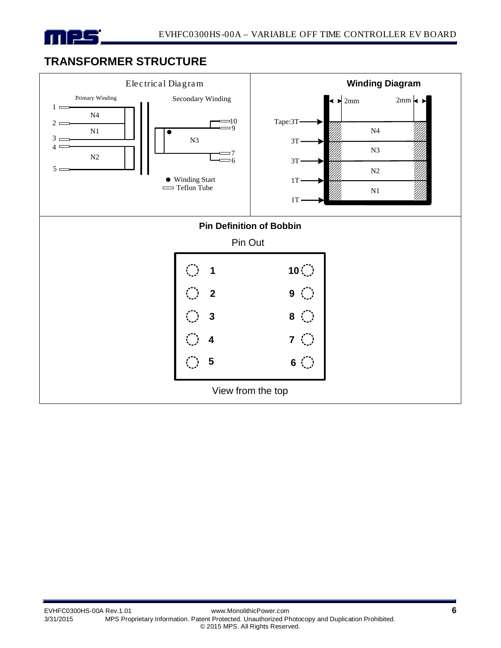

## **TRANSFORMER STRUCTURE**

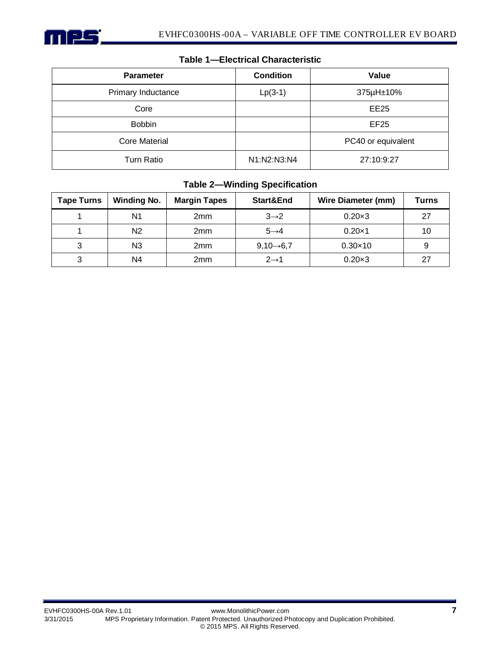

| <b>Parameter</b>     | <b>Condition</b> | Value              |
|----------------------|------------------|--------------------|
| Primary Inductance   | $Lp(3-1)$        | 375µH±10%          |
| Core                 |                  | EE25               |
| <b>Bobbin</b>        |                  | EF25               |
| <b>Core Material</b> |                  | PC40 or equivalent |
| <b>Turn Ratio</b>    | N1:N2:N3:N4      | 27:10:9:27         |

#### **Table 1—Electrical Characteristic**

#### **Table 2—Winding Specification**

| Tape Turns | <b>Winding No.</b> | <b>Margin Tapes</b> | Start&End              | <b>Wire Diameter (mm)</b> | <b>Turns</b> |
|------------|--------------------|---------------------|------------------------|---------------------------|--------------|
|            | N <sub>1</sub>     | 2mm                 | $3\rightarrow 2$       | $0.20 \times 3$           | 27           |
|            | N <sub>2</sub>     | 2 <sub>mm</sub>     | $5 \rightarrow 4$      | $0.20\times1$             | 10           |
|            | N <sub>3</sub>     | 2 <sub>mm</sub>     | $9,10 \rightarrow 6,7$ | $0.30 \times 10$          |              |
|            | N4                 | 2 <sub>mm</sub>     | $2 \rightarrow 1$      | $0.20 \times 3$           | 27           |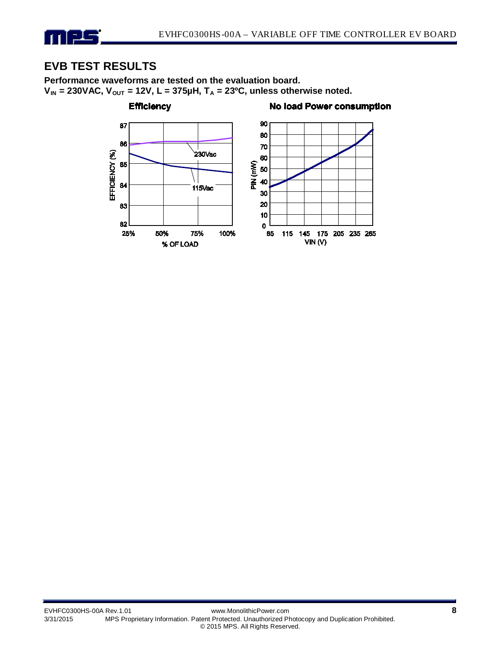

## **EVB TEST RESULTS**

**Performance waveforms are tested on the evaluation board.**   $V_{IN}$  = 230VAC,  $V_{OUT}$  = 12V, L = 375µH, T<sub>A</sub> = 23<sup>o</sup>C, unless otherwise noted.

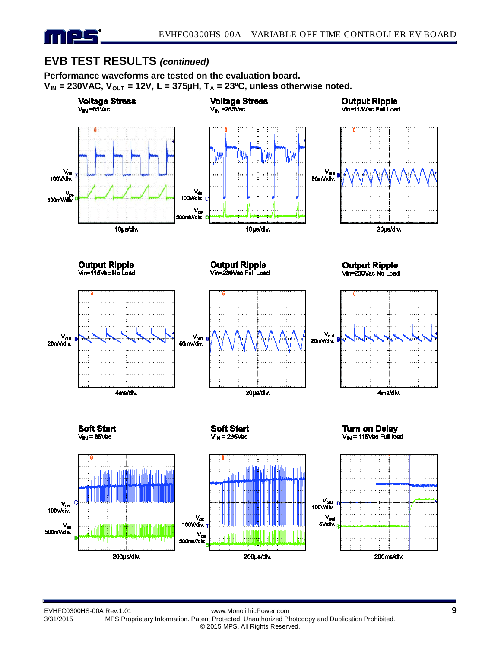

## **EVB TEST RESULTS** *(continued)*

**Performance waveforms are tested on the evaluation board.**   $V_{IN}$  = 230VAC,  $V_{OUT}$  = 12V, L = 375 $\mu$ H, T<sub>A</sub> = 23<sup>o</sup>C, unless otherwise noted.



EVHFC0300HS-00A Rev.1.01 www.MonolithicPower.com **9** MPS Proprietary Information. Patent Protected. Unauthorized Photocopy and Duplication Prohibited. © 2015 MPS. All Rights Reserved.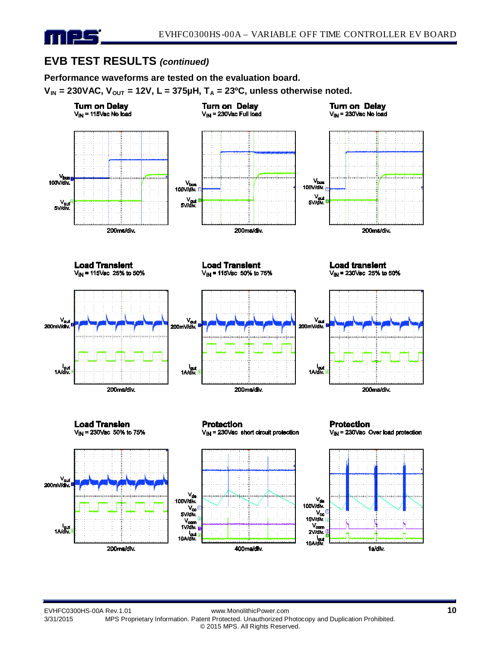

## **EVB TEST RESULTS** *(continued)*

**Performance waveforms are tested on the evaluation board.** 

 $V_{IN}$  = 230VAC,  $V_{OUT}$  = 12V, L = 375 $\mu$ H, T<sub>A</sub> = 23<sup>o</sup>C, unless otherwise noted.



EVHFC0300HS-00A Rev.1.01 www.MonolithicPower.com **10** MPS Proprietary Information. Patent Protected. Unauthorized Photocopy and Duplication Prohibited. © 2015 MPS. All Rights Reserved.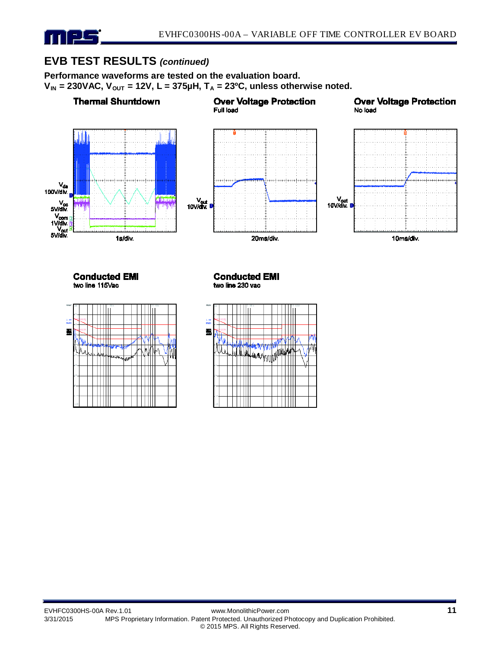# mps

## **EVB TEST RESULTS** *(continued)*

ШI

**Performance waveforms are tested on the evaluation board.**   $V_{IN}$  = 230VAC,  $V_{OUT}$  = 12V, L = 375 $\mu$ H, T<sub>A</sub> = 23<sup>o</sup>C, unless otherwise noted.



Ш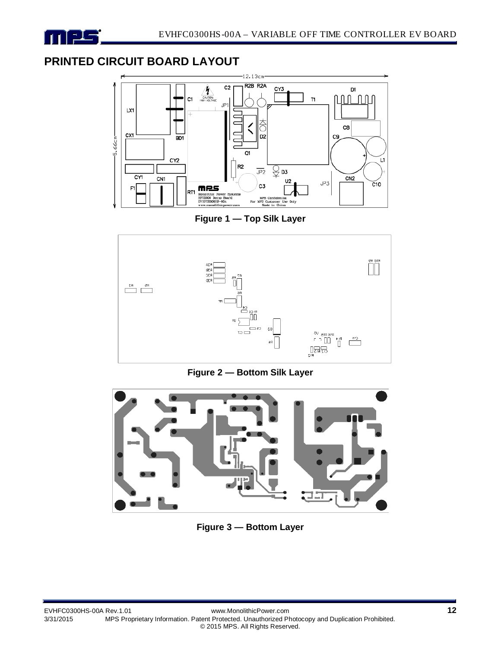

## **PRINTED CIRCUIT BOARD LAYOUT**



**Figure 1 — Top Silk Layer**



**Figure 2 — Bottom Silk Layer**



**Figure 3 — Bottom Layer**